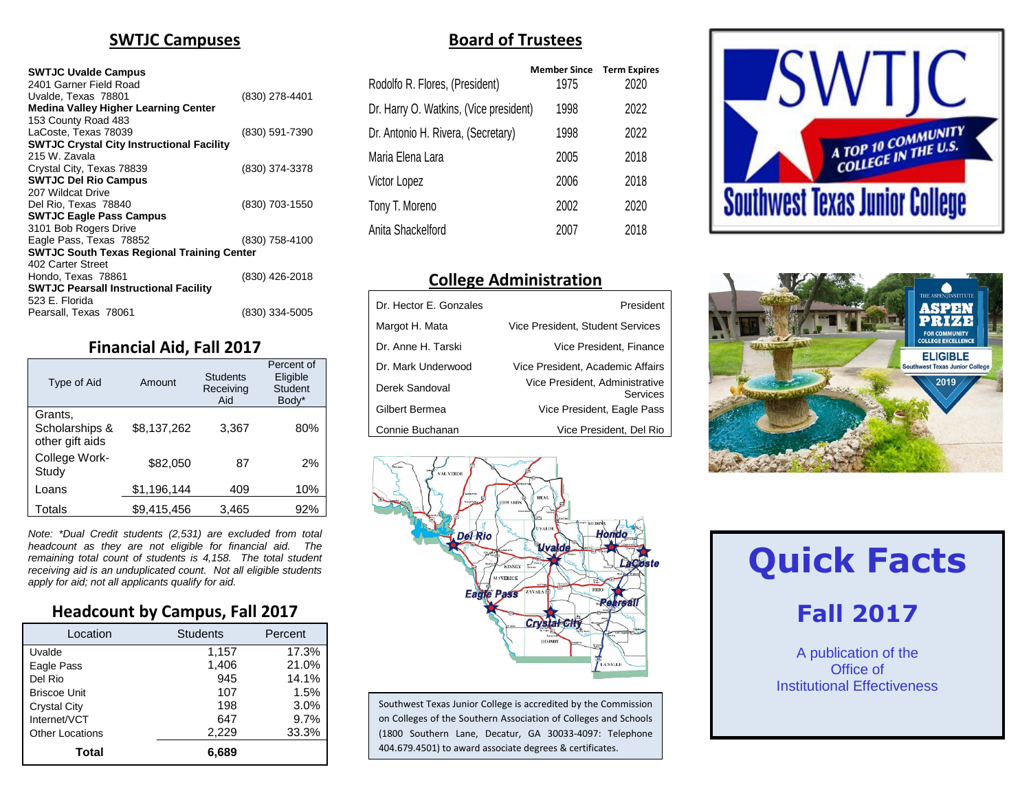#### **SWTJC Campuses**

#### **SWTJC Uvalde Campus**

| 2401 Garner Field Road                            |                |
|---------------------------------------------------|----------------|
| Uvalde, Texas 78801                               | (830) 278-4401 |
| <b>Medina Valley Higher Learning Center</b>       |                |
| 153 County Road 483                               |                |
| LaCoste. Texas 78039                              | (830) 591-7390 |
| <b>SWTJC Crystal City Instructional Facility</b>  |                |
| 215 W. Zavala                                     |                |
| Crystal City, Texas 78839                         | (830) 374-3378 |
| <b>SWTJC Del Rio Campus</b>                       |                |
| 207 Wildcat Drive                                 |                |
| Del Rio. Texas 78840                              | (830) 703-1550 |
| <b>SWTJC Eagle Pass Campus</b>                    |                |
| 3101 Bob Rogers Drive                             |                |
| Eagle Pass, Texas 78852                           | (830) 758-4100 |
| <b>SWTJC South Texas Regional Training Center</b> |                |
| 402 Carter Street                                 |                |
| Hondo, Texas 78861                                | (830) 426-2018 |
| <b>SWTJC Pearsall Instructional Facility</b>      |                |
| 523 E. Florida                                    |                |
| Pearsall, Texas 78061                             | (830) 334-5005 |

#### **Financial Aid, Fall 2017**

| Type of Aid                                  | Amount      | <b>Students</b><br>Receiving<br>Aid | Percent of<br>Eligible<br>Student<br>Body* |
|----------------------------------------------|-------------|-------------------------------------|--------------------------------------------|
| Grants,<br>Scholarships &<br>other gift aids | \$8,137,262 | 3,367                               | 80%                                        |
| College Work-<br>Study                       | \$82.050    | 87                                  | 2%                                         |
| Loans                                        | \$1,196,144 | 409                                 | 10%                                        |
| Totals                                       | \$9,415,456 | 3,465                               | 92%                                        |

*Note: \*Dual Credit students (2,531) are excluded from total headcount as they are not eligible for financial aid. The remaining total count of students is 4,158. The total student receiving aid is an unduplicated count. Not all eligible students apply for aid; not all applicants qualify for aid.*

#### **Headcount by Campus, Fall 2017**

| Location               | <b>Students</b> | Percent |
|------------------------|-----------------|---------|
| Uvalde                 | 1,157           | 17.3%   |
| Eagle Pass             | 1,406           | 21.0%   |
| Del Rio                | 945             | 14.1%   |
| <b>Briscoe Unit</b>    | 107             | 1.5%    |
| <b>Crystal City</b>    | 198             | 3.0%    |
| Internet/VCT           | 647             | 9.7%    |
| <b>Other Locations</b> | 2,229           | 33.3%   |
| Total                  | 6.689           |         |

#### **Board of Trustees**

|                                        | <b>Member Since</b> | <b>Term Expires</b> |
|----------------------------------------|---------------------|---------------------|
| Rodolfo R. Flores, (President)         | 1975                | 2020                |
| Dr. Harry O. Watkins, (Vice president) | 1998                | 2022                |
| Dr. Antonio H. Rivera, (Secretary)     | 1998                | 2022                |
| Maria Elena Lara                       | 2005                | 2018                |
| Victor Lopez                           | 2006                | 2018                |
| Tony T. Moreno                         | 2002                | 2020                |
| Anita Shackelford                      | 2007                | 2018                |
|                                        |                     |                     |

#### **College Administration**

| Dr. Hector E. Gonzales | President                                  |
|------------------------|--------------------------------------------|
| Margot H. Mata         | Vice President, Student Services           |
| Dr. Anne H. Tarski     | Vice President, Finance                    |
| Dr. Mark Underwood     | Vice President, Academic Affairs           |
| Derek Sandoval         | Vice President, Administrative<br>Services |
| Gilbert Bermea         | Vice President, Eagle Pass                 |
| Connie Buchanan        | Vice President, Del Rio                    |







Southwest Texas Junior College is accredited by the Commission on Colleges of the Southern Association of Colleges and Schools (1800 Southern Lane, Decatur, GA 30033-4097: Telephone 404.679.4501) to award associate degrees & certificates.

# **Quick Facts**

# **Fall 2017**

A publication of the Office of Institutional Effectiveness